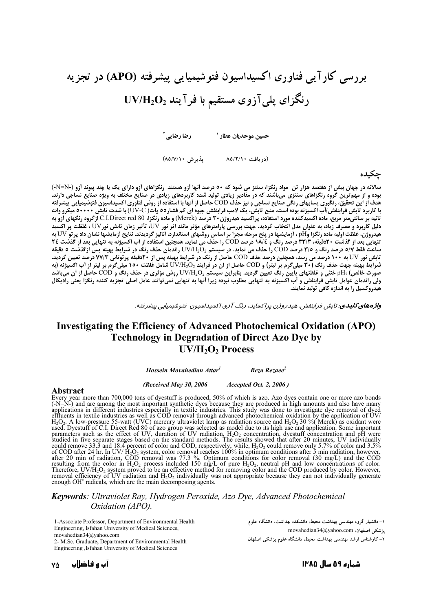# بررسی کارآیی فناوری اکسیداسیون فتوشیمیایی پیشرفته (APO) در تجزیه  $\rm UV/H_2O_2$  رنگزای پلی آزوی مستقیم با فر آیند

رضا رضایے آ حسين موحديان عطار `

(دریافت ۸۵/۲/۱۰ یذیرش ۸۵/۷/۱۰)

### حكىدە

سالانه در جهان بیش از هفتصد هزار تن ًمواد رنگزا، سنتز می شود که ۵۰ درصد آنها آزو هستند. رنگزاهای آزو دارای یک یا چند پیوند آزو (-N=N-)<br>بوده و از مهمترین گروه رنگزاهای سنتزی میباشند که در مقادیر زیادی تولید شده کاربردهای ز ثانيه بر سانتي متر مربع، ماده اكسيدكننده مورد استفاده، پراكسيد هيدروژن ۳۰ درصد (Merck) و ماده رنگزا، C.I.Direct red 80 ازگروه رنگهاي آزو به دلیل کاربرد و مصرف زیاد، به عنوان مدل انتخاب گردید. جهت بررسی پارامترهای مؤثر مانند اثر نور آ $\rm U$ ، تأثیر زمان تابش نور $\rm U$ ، غلظت پر اکسید ت. ر. ر.<br>هیدروژن، غلظت اولیه ماده رنگزا وPH ، آزمایشها در پنج مرحله مجزا بر اساس روشهای استاندارد، آنالیز گردیدند. نتایج آزمایشها نشان داد پرتو UV به<br>هیدروژن، غلظت اولیه ماده رنگزا وPH ، آزمایشها در پنج مرحله COD را حذف سم کی بعد (رفت .<br>ساعت فقط ٥/٧ درصد رنگ و ٣/٥ درصد COD را حذف می نماید. در سیستم UV/H2O راندمان حذف رنگ در شرایط بهینه پس ازگذشت ٥ دقیقه تابش نور UV به ۱۰۰ درصد می رسد، همچنین درصد حذف COD حاصل از رنگ در شرایط بهینه پس از ۲۰دقیقه پرتوتابی ۷۷/۳ درصد تعیین گردید. شرايط بهينه جهت حذف رنگ (٣٠ ميلي5رم بر ليتر) و COD حاصل از أن در فرايند وUV/H2O شامل غلظت ١٥٠ ميلي5رم بر ليتر از أب اكسيژنه (به سریت بهترین .<br>صورت خالص) PH، خُنثی و غلظُتهای پایین رنگ تعیین گردید. بنابراین سیستم UV/H2O روش مؤثّری در حذف رنگ و COD حاصل از آن میباشد<br>ولی راندمان عوامل تابش فرابنفش و آب اکسیژنه به تنهایی مطلوب نبوده زیرا آنها به تنهای هیدروکسیل را به اندازه کافی تولید نمایند.

واژههای کلیدی. تابش فرابنفش، هیدروژن پراکساید، رنگ آزو، اکسیداسیون فتوشیمیایی پیشرفته.

## Investigating the Efficiency of Advanced Photochemical Oxidation (APO) **Technology in Degradation of Direct Azo Dye by**  $UV/H<sub>2</sub>O<sub>2</sub> Process$

Hossein Movahedian Attar<sup>1</sup> Reza Rezaee<sup>2</sup>

(Received May 30, 2006 Accepted Oct. 2, 2006)

#### Abstract

**Abstract**<br> **Abstract**<br>
Every year more than 700,000 tons of dyestuff is produced, 50% of which is azo. Azo dyes contain one or more azo bonds<br>
Every year more than 700,000 tons of dyestuff is produced, 50% of which is az enough  $OH^{\circ}$  radicals, which are the main decomposing agents.

Keywords: Ultraviolet Ray, Hydrogen Peroxide, Azo Dye, Advanced Photochemical Oxidation (APO).

1-Associate Professor, Department of Environmental Health Engineering, Isfahan University of Medical Sciences, movahedian34@yahoo.com

۱– دانشیار گروه مهندسی بهداشت محیط، دانشکده بهداشت، دانشگاه علوم movahedian34@yahoo.com يزشكي اصفهان.

۲– کارشناس ارشد مهندسی بهداشت محیط، دانشگاه علوم پزشکی اصفهان

2- M.Sc. Graduate, Department of Environmental Health Engineering Jsfahan University of Medical Sciences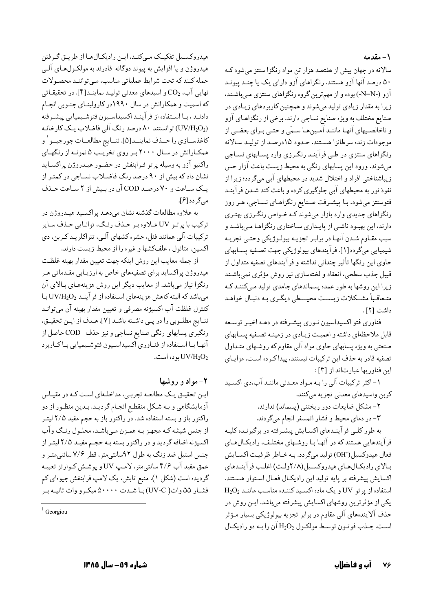١- مقدمه

سالانه در جهان بیش از هفتصد هزار تن مواد رنگزا سنتز می شود ک ۵۰ درصد آنها آزو هستند. رنگزاهای آزو دارای یک یا چنـد پیونـد آزو (-N=N-) بوده و از مهمترین گروه رنگزاهای سنتزی مـیباشـند. زیرا به مقدار زیادی تولید میشوند و همچنین کاربردهای زیـادی در صنایع مختلف به ویژه صنایع نساجی دارند. برخی از رنگزاهـای آزو و ناخالصیهای آنهـا ماننـد آمـینهـا سـمّی و حتـی بـرای بعضـی از موجودات زنده سرطانزا هستند. حـدود ۱۵درصـد از توليـد سـالانه رنگزاهای سنتزی در طبی فرآینـد رنگـرزی وارد پسـابهای نسـاجی میشوند. ورود این پسابهای رنگی به محیط زیست باعث آزار حس زیباشناختی افراد و اختلال شدید در محیطهای آبی میگردد؛ زیرا از نفوذ نور به محیطهای آبی جلوگیری کرده و باعث کند شـدن فرآینـد فتوسنتز می شود. بـا پیشـرفت صـنایع رنگزاهـای نسـاجی، هـر روز رنگزاهای جدیدی وارد بازار میشوند کـه خـواص رنگـرزی بهتـری دارند، این بهبود ناشـی از پایـداری سـاختاری رنگزاهـا مـیباشـد و سبب مقـاوم شـدن آنهـا در برابـر تجزيـه بيولـوژيكي وحتـي تجزيـه شیمیایی میگردد[۱]. فرآیندهای بیولوژیکی جهت تصـفیه پســابهای حاوي اين رنگها تأثير چنداني نداشته و فرآيندهاي تصفيه متداول از قبيل جذب سطحي، انعقاد و لختهسازي نيز روش مؤثري نمي باشـند زیرا این روشها به طور عمده پسماندهای جامدی تولید مے کننـد کـه متعاقباً مشـكلات زيسـت محيــطى ديگـرى بـه دنبـال خواهـد داشت [٢].

فناوري فتو اكسيداسيون نـوري پيشـرفته در دهـه اخيـر توسـعه قابل ملاحظهای داشته و اهمیت زیادی در زمینـه تصـفیه پسـابهای صنعتی به ویژه پسابهای حاوی مواد آلی مقاوم که روشـهای متـداول تصفیه قادر به حذف این ترکیبات نیستند، پیداکرده است. مزایـای اين فناوريها عبارتاند از [٣]:

۱- اکثر ترکیبات آلی را بـه مـواد معـدنی ماننـد آب،دی اکسـید كربن واسيدهاي معدني تجزيه مىكنند.

۲- مشکل ضایعات دور ریختنی (پسماند) ندارند. ۳- در دمای محیط و فشار اتمسفر انجام میگردند.

به طور کلـي فرآينـدهاي اکسـايش پيشـرفته در برگيرنـده کليـه فر آیندهایی هستند که در آنها بـا روشـهای مختلـف، رادیکـال۱عـای فعال هيدوكسيل('OH) توليد مي گردد. بـه خـاطر ظرفيـت اكسـايش بیالای رادیکیال هیای هیدروکسیل(۲/۸ولت) اغلب فر آینیدهای اكسايش پيشرفته بر پايه توليد اين راديكال فعـال اسـتوار هسـتند.  $\rm H_2O_2$  استفاده از یرتو  $\rm UV$  و یک ماده اکسید کننـده مناسب ماننـد یکی از مؤثرترین روشهای اکسایش پیشرفته میباشد. ایـن روش در حذف آلایندههای آلبی مقاوم در برابر تجزیه بیولوژیکی بسیار مـؤثر است. جـذب فو تـون توسـط مولكـول  $\rm H_2O_2$  آن را بـه دو راديكـال

هیدروکسیل تفکیک مے کنـد. ایـن رادیکـالهـا از طریـق گـرفتن هیدروژن و یا افزایش به پیوند دوگانه قادرند به مولکـولهـای آلـی حمله كنند كه تحت شرايط عملياتي مناسب، مي توانند محصولات نهایی آب، CO2 و اسیدهای معدنی تولیـد نماینـد[۴]. در تحقیقـاتی که اسمیت و همکارانش در سال ۱۹۹۰در کارولینـای جنـوبی انجـام دادنـد ، بـا اسـتفاده از فرآينـد اكسيداسـيون فتوشـيميايي پيشـرفته (UV/H2O2) توانستند ۸۰ درصد رنگ آلی فاضلاب یک کارخانـه كاغذســازي را حــذف نماينــد[۵]. نتــايج مطالعــات جورجيــو ' و همکـارانش در سـال ۲۰۰۰ بـر روی تخریـب ۵ نمونـه از رنگهـای راکتیو آزو به وسیله پرتو فـرابنفش در حضـور هیـدروژن پراکسـاید نشان داد که بیش از ۹۰ درصد رنگ فاضلاب نسـاجی در کمتـر از یک ساعت و ۷۰ درصد COD آن در بیش از ۲ ساعت حـذف میگر دد[۶].

به علاوه مطالعات گذشته نشان مىدهـد پراكسـيد هيـدروژن در ترکیب با پرتـو UV عـلاوه بـر حـذف رنـگ، توانـایی حـذف سـایر ترکیبات آلی همانند فنل، حشره کشهای آلبی، تتراکلریـد کـربن، دی اکسین، متانول ، علفکشها و غیره را از محیط زیست دارند.

از جمله معايب اين روش اينكه جهت تعيين مقدار بهينه غلظت هیدروژن پراکساید برای تصفیههای خاص به ارزیـابی مقـدماتی هـر رنگزا نیاز میباشد. از معایب دیگر این روش هزینههـای بـالای آن میباشد که البته کاهش هزینههای استفاده از فرآینـد UV/H2O2 بـا كنترل غلظت آب اكسيژنه مصرفي و تعيين مقدار بهينه آن مي توانـد نتـايج مطلـوبي را در پـي داشـته باشـد [٧]. هـدف از ايـن تحقيـق، رنگبری پسابهای رنگی صنایع نساجی و نیز حذف COD حاصل از آنها بـا اسـتفاده از فنـاوري اكسيداسـيون فتوشـيميايي بـاكـاربرد  $UVIH_2O_2$ بوده است.

## ۲- مواد و روشها

ایـن تحقیـق یـک مطالعـه تجربـی، مداخلـهای اسـت کـه در مقیـاس آزمایشگاهی و بـه شـكل منقطـع انجـام گرديـد. بـدين منظـور از دو راکتور باز و بسته استفاده شد. در راکتور باز به حجم مفید ۲/۵ لیتـر از جنس شیشه کـه مجهـز بـه همـزن مـيباشـد. محلـول رنـگ وآب اکسیژنه اضافه گردید و در راکتور بسته بـه حجـم مفیـد ۲/۵ لیتـر از جنس استیل ضد زنگ به طول ۹۲سانتی متر، قطر ۷/۶ سانتی متـر و عمق مفید آب ۴/۶ سانتی متر، لامپ UV و یوشش کـوارتز تعبیـه گردیده است (شکل ۱). منبع تابش، یک لامپ فرابنفش جیوهای کم فشبار ۵۵ وات( UV-C) بیاً شیدت ۵۰۰۰۰ میکیرو وات ثانییه بیر

 $1$  Georgiou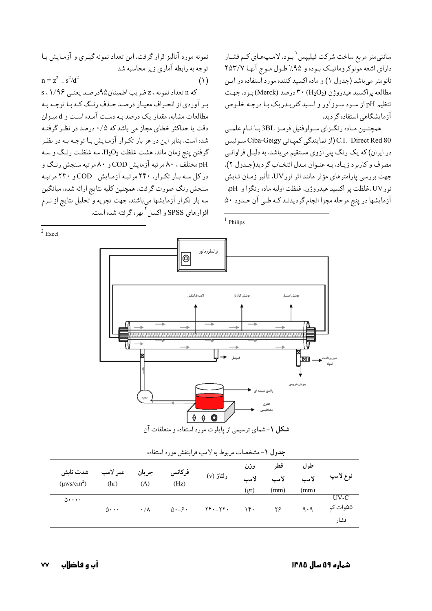سانتی متر مربع ساخت شرکت فیلیپس <sup>۱</sup> بـود. لامـپھـای کـم فشـار دارای اشعه مونوکروماتیک بـوده و ۹۵٪ طـول مـوج آنهـا ۲۵۳/۷ نانومتر میباشد (جدول ۱) و ماده اکسید کننده مورد استفاده در این مطالعه پراکسید هیدروژن (H2O2) ۳۰ درصد (Merck) بود. جهت تنظیم pH از سـود سـوزآور و اسـید کلریـدریک بـا درجـه خلـوص آزمایشگاهی استفاده گر دید.

همچنـین مـاده رنگـزاي سـولوفنيل قرمـز 3BL بـا نـام علمـي C.I. Direct Red 80 (از نمایندگی کمپـانی Ciba-Geigy سـوئيس در ایران) که یک رنگ پلیآزوی مستقیم میباشد، به دلیـل فراوانـی مصرف و كاربرد زيـاد، بـه عنـوان مـدل انتخـاب گرديد(جـدول ٢). جهت بررسی پارامترهای مؤثر مانند اثر نورUV، تأثیر زمـان تــابش نور UV،غلظت پر اکسید هیدروژن، غلظت اولیه ماده رنگزا و pH. آزمایشها در پنج مرحله مجزا انجام گردیدنـد کـه طـي آن حـدود ۵۰

 $1$  Philips

نمونه مورد آنالیز قرار گرفت. این تعداد نمونه گیـری و آزمـایش بـا توجه به رابطه آماري زير محاسبه شد  $n = z^2$ ,  $s^2/d^2$  $(1)$ 

که n تعداد نمونه ، z ضرب اطمینان۹۵درصد بعنبی ۰۱/۹۶ بر آوردي از انحراف معيـار درصـد حـذف رنـگ كـه بـا توجـه بـه مطالعات مشابه، مقدار یک درصد بـه دسـت آمـده اسـت و d میـزان دقت یا حداکثر خطای مجاز می باشد که ۰/۵ درصد در نظر گرفتـه شده است. بنابر این در هر بار تکرار آزمایش بـا توجـه بـه در نظـر گرفتن پنج زمان ماند، هشت غلظت  $\text{H}_{2}\text{O}_{2}$  سه غلظت رنگ و سـه pH مختلف ، ۸۰ مرتبه آزمایش COD و ۸۰ مرتبه سنجش رنگ و در کل سه بار تکرار، ۲۴۰ مرتبه آزمایش COD و ۲۴۰ مرتبه سنجش رنگ صورت گرفت. همچنین کلیه نتایج ارائه شده، میانگین سه بار تکرار آزمایشها میباشند. جهت تجزیه و تحلیل نتایج از نـرم افزارهای SPSS و اکسل<sup>۲</sup> بهره گرفته شده است.



|  | جدون ، سسخسات مربوط به د منها تر ابتعش مورد استعاده |                            |                 |                             |                       |      |      |      |          |  |  |  |  |
|--|-----------------------------------------------------|----------------------------|-----------------|-----------------------------|-----------------------|------|------|------|----------|--|--|--|--|
|  | شدت تابش                                            | عمر لامپ                   | جريان           | فركانس                      |                       | وزن  | قطر  | طول  |          |  |  |  |  |
|  | $(\mu$ ws/cm <sup>2</sup> )                         | (hr)                       | (A)             | (Hz)                        | $(v)$ ولتاژ           | لامب | لامب | لامب | نوع لامپ |  |  |  |  |
|  |                                                     |                            |                 |                             |                       | gr)  | (mm) | (mm) |          |  |  |  |  |
|  | $\Delta$                                            |                            |                 |                             | $YY \cdot - YY \cdot$ | 16.  | ۲۶   | 9.9  | $UV-C$   |  |  |  |  |
|  |                                                     | $\Delta \cdot \cdot \cdot$ | $\cdot/\lambda$ | $\Delta \cdot -\frac{1}{2}$ |                       |      |      |      | ۵۵وات کم |  |  |  |  |
|  |                                                     |                            |                 |                             |                       |      |      |      | فشا,     |  |  |  |  |
|  |                                                     |                            |                 |                             |                       |      |      |      |          |  |  |  |  |

 $2$  Excel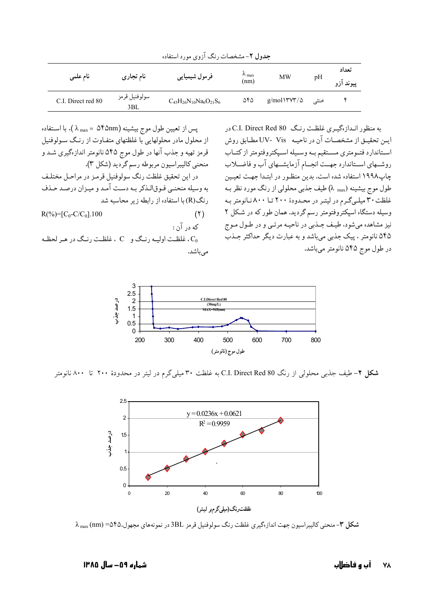| نام علمی           | نام تجاری            | فرمول شيميايي                     | $\lambda$ max<br>(nm) | MW            | pH   | تعداد<br>پيوند آزو |
|--------------------|----------------------|-----------------------------------|-----------------------|---------------|------|--------------------|
| C.I. Direct red 80 | سولوفنيل قرمز<br>3BL | $C_{45}H_{26}N_{10}Na_6O_{21}S_6$ | ۵۴۵                   | $g/mol\$ YV\% | خنثي |                    |

جدول ۲- مشخصات رنگ آزوی مورد استفاده

به منظور اندازهگیری غلظت رنگ C.I. Direct Red 80 در ايــن تحقيــق از مشخصــات آن در ناحيــه UV- Vis مطــابق روش استاندارد فتومتري مستقيم به وسيله اسيكتروفتومتر ازكتـاب روشهای استاندارد جهت انجـام آزمایشـهای آب و فاضـلاب چاپ۱۹۹۸ استفاده شده است. بدین منظـور در ابتـدا جهـت تعیـین طول موج بیشینه (λ <sub>max</sub>) طیف جذبی محلولی از رنگ مورد نظر بـه غلظت ۳۰ میلیگرم در لیتر در محدودهٔ ۲۰۰ تا ۸۰۰نانومتر به وسیله دستگاه اسیکتروفتومتر رسم گردید. همان طور که در شکل ۲ نیز مشاهده میشود، طیف جـذبی در ناحیـه مرئـی و در طـول مـوج ۵۴۵ نانومتر ، پیک جذبی میباشد و به عبارت دیگر حداکثر جـذب در طول موج ۵۴۵ نانومتر میباشد.



ن غلظت اوليه رنگ و C ، غلظت رنگ در هر لحظه C مىباشد.



**شکل ۲**– طیف جذب<sub>ی</sub> محلولی از رنگ C.I. Direct Red 80 به غلظت ۳۰ میل<sub>ی</sub> گرم در لیتر در محدودهٔ ۲۰۰ تا ۸۰۰ نانومتر



شکل ۳- منحنی کالیبراسیون جهت اندازهگیری غلظت رنگ سولوفنیل قرمز 3BL در نمونههای مجهول،۴۵- (nm) ۸  $\lambda_{\rm max}$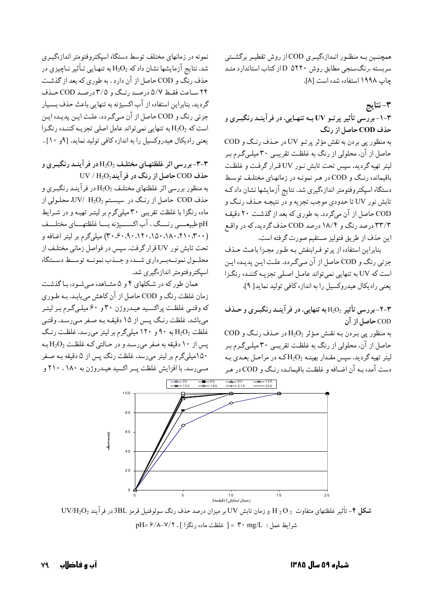همچنــین بــه منظــور انــدازهگیــری COD از روش تقطیــر برگشــتی سربسته ،رنگسنجی مطابق روش ۵۲۲۰ D از کتاب استاندارد متـد چاپ ١٩٩٨ استفاده شده است [٨].

٣- نتايج ۳-۱-بررسی تأثیر پرتـو UV بـه تنهـایی، در فرآینـد رنگبـری و حذف COD حاصل از رنگ

به منظور پی بردن به نقش مؤثر پرتـو UV در حـذف رنـگ و COD حاصل از آن، محلولی از رنگ به غلظت تقریبی ۳۰ میلـیگـرم بـر ليتر تهيه گرديد، سپس تحت تابش نـور UV قـرار گرفت و غلظـت باقیمانده رنگ و COD در هـر نمونـه در زمانهـای مختلـف توسـط دستگاه اسپکتروفتومتر اندازهگیری شد. نتایج آزمایشها نشان دادکه تابش نور UV تا حدودي موجب تجزيه و در نتيجـه حـذف رنـگ و COD حاصل از آن میگردد. به طوری که بعد از گذشت ۲۰ دقیقه ۳۳/۳ درصد رنگ و ۱۸/۴ درصد COD حذف گردید، که در واقع اين حذف از طريق فتوليز مستقيم صورت گرفته است.

بنابراین استفاده از پرتو فرابنفش بـه طـور مجـزا باعـث حـذف جزئي رنگ و COD حاصل از آن ميگردد. علت اين پديـده ايـن است که UV به تنهایی نمی تواند عامل اصلی تجزیـه کننـده رنگـزا يعني راديكال هيدروكسيل را به اندازه كافي توليد نمايد[ ٩].

## -۲- بررسی تأثیر H2O2 به تنهایی، در فرآینـد رنگبـری و حـذف $-$ ۲ COD حاصل از آن

 $\text{COD }$ به منظور پی بردن به نقش مؤثر  $\text{H}_2\text{O}_2$ در حذف رنگ و حاصل از آن، محلولی از رنگ به غلظت تقریبـی ۳۰ میلـیگـرم بـر لیتر تهیه گردید. سپس مقـدار بهینـه  $\rm H_2O_2$ کـه در مراحـل بعـدی بـه دست آمده بـه آن اضـافه و غلظـت باقیمانـده رنـگ و COD در هـر



UV/H2O2 تأثیر غلظتهای متفاوت  $\rm _2$  H و زمان تابش UV بر میزان درصد حذف رنگ سولوفنیل قرمز  $\rm _3BL$  در فرآیند  $\rm _2$  $pH = \frac{\mathcal{S}}{\lambda - V} - V$ ( أخلظت ماده رنگزا ]. pH=  $\mathcal{S}/\lambda - V$ /۲

نمونه در زمانهای مختلف توسط دستگاه اسیکتروفتومتر اندازهگیـری شد. نتایج آزمایشها نشان دادکه  $\mathrm{H}_2\mathrm{O}_2$ به تنهایی تـأثیر نـاچیزی در حذف رنگ و COD حاصل از آن دارد . به طوري كه بعد از گذشت ۲۴ ساعت فقط ۵/۷ درصد رنگ و ۳/۵ درصد COD حـذف گردید. بنابراین استفاده از آب اکسیژنه به تنهایی باعث حذف بسـیار جزئي رنگ و COD حاصل از آن ميگردد. علت اين پديده اين است که H2O2 به تنهایی نمیتواند عامل اصلی تجزیـه کننـده رنگـزا یعنی رادیکال هیدروکسیل را به اندازه کافی تولید نماید. [۹و ۱۰].

-۳-۳-بررسی اثر غلظتهـای مختلـف H2O2 در فرآینـد رنگبـری وT-۳  $UV/H_2O_2$ حذف COD حاصل از رنگ در فرآیند

به منظور بررسی اثر غلظتهای مختلف H2O2 در فرآینـد رنگبـری و حذف COD حاصل از رنـگ در سیسـتم UV/ H2O2، محلـولی از ماده رنگزا با غلظت تقریبی ۳۰میلیگرم بر لیتـر تهیـه و در شـرایط pH طبیعـــي رنـــگ ، آب اکســـیژنه بـــا غلظتهـــاي مختلـــف (۳۰۰، ۱۸۰،۱۸۰،۱۵۰،۱۸۰،۱۴۰، ۳۰،۴۰، ۳۰) میلیگرم بر لیتر اضافه و تحت تابش نور UV قرار گرفت. سپس در فواصل زمانی مختلف از محلـول نمونــهبـرداري شــده وجــذب نمونــه توسـط دســتگاه اسیکتروفتومتر اندازهگیری شد.

همان طور که در شکلهای ۴ و ۵ مشـاهده مـی شـود، بـاگذشـت زمان غلظت رنگ و COD حاصل از آن کاهش می یابـد. بـه طـوری که وقتبی غلظت پراکسید هیـدروژن ۳۰ و ۶۰ میلـیگـرم بـر لیتـر میباشد، غلظت رنگ پس از ۱۵ دقیقه بـه صـفر مـیرسـد. وقتـی غلظت  $\rm H_2O_2$  به ۹۰ و ۱۲۰ میلیگرم بر لیتر می رسد، غلظت رنگ پس از ۱۰ دقیقه به صفر می رسد و در حـالتی کـه غلظـت H2O2 بـه ۱۵۰میلیگرم بر لیتر میرسد، غلظت رنگ پس از ۵ دقیقه بـه صـفر مهرسد. با افزایش غلظت پسر اکسید هیدروژن به ۱۸۰، ۲۱۰ و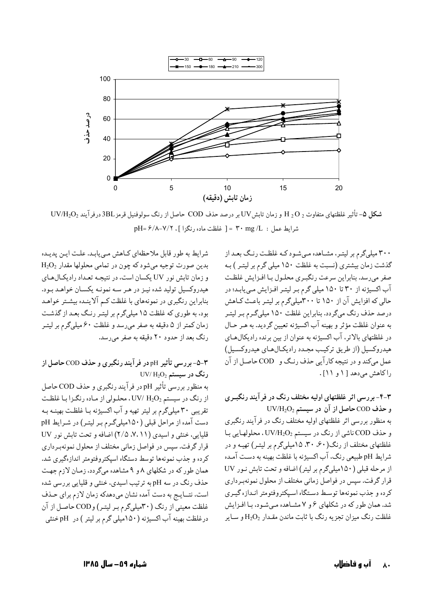

**شکل ۵**– تأثیر غلظتهای متفاوت A و JV و زمان تابشUV بر درصد حذف COD حاصل از رنگ سولوفنیل قرمز 3BL درفرآیند UV/H2O2  $pH = \frac{\mathcal{P}}{\lambda - V} - V$ ( أغلظت ماده رنگزا ]. pH=  $\mathcal{P}/\lambda - V$ /۲

شرایط به طور قابل ملاحظهای کاهش می یابد. علت این پدیده  $\rm H_2O_2$  بدين صورت توجيه مي شود كه چون در تمامي محلولها مقدار و زمان تابش نور UV یکسان است، در نتیجه تعداد رادیکال های هیدروکسیل تولید شده نیـز در هـر سـه نمونـه یکسـان خواهـد بـود. بنابراین رنگبری در نمونههای با غلظت کم آلاینـده بیشـتر خواهـد بود، به طوري كه غلظت ١٥ ميليگرم بر ليتـر رنـگ بعـد از گذشـت زمان کمتر از ۵ دقیقه به صفر میرسد و غلظت ۶۰ میلیگرم بر لیتـر رنگ بعد از حدود ۲۰ دقیقه به صفر می رسد.

۳-۵-بررسی تأثیر pH در فرآیند رنگبری و حذف COD حاصل از  $\rm UV/\,H_2O_2$  رنگ در سیستم

به منظور بررسی تأثیر pH در فرآیند رنگبری و حذف COD حاصل از رنگ در سیستم UV/ H2O2 ، محلـولی از مـاده رنگـزا بـا غلظـت تقریبی ۳۰ میلیگرم بر لیتر تهیه و آب اکسیژنه بـا غلظـت بهینــه بـه دست آمده از مراحل قبلی (۱۵۰میلیگرم بر لیتر) در شرایط pH قلیایی، خنثی و اسیدی ( ۷، ۱۱ ، ۲/۵) اضافه و تحت تابش نور UV قرار گرفت. سپس در فواصل زمانی مختلف از محلول نمونهبرداری کرده و جذب نمونهها توسط دستگاه اسیکتروفتومتر اندازهگیری شد. همان طور که در شکلهای ۸و ۹ مشاهده میگردد. زمـان لازم جهت حذف رنگ در سه pH به ترتیب اسیدی، خنثی و قلیایی بررسی شده است، نتــايــج به دست آمده نشان ميدهدكه زمان لازم براي حـذف غلظت معینی از رنگ (۳۰میلیگرم بر لیتـر) وCOD حاصـل از آن درغلظت بهینه آب اکسیژنه (۱۵۰میلی گرم بر لیتر ) در pH خنثی ۳۰۰ میلیگرم بر لیتـر، مشـاهده مـیشـود کـه غلظـت رنـگ بعـد از گذشت زمان بیشتری (نسبت به غلظت ۱۵۰ میلی گرم بر لیتـر ) بـه صفر میرسد. بنابراین سرعت رنگبری محلول با افزایش غلظت آب اکسیژنه از ۳۰ تا ۱۵۰ میلی گرم بر لیتر افزایش می یابد؛ در حالی که افزایش آن از ۱۵۰ تا ۳۰۰میلیگرم بر لیتـر باعـث کـاهش درصد حذف رنگ میگردد. بنابراین غلظت ۱۵۰ میلیگرم بـر لیتـر به عنوان غلظت مؤثر و بهينه آب اكسيژنه تعيين گرديد. به هـر حـال در غلظتهای بالاتر، آب اکسیژنه به عنوان از بین برنده رادیکالهای هیدروکسیل (از طریق ترکیب مجـدد رادیکـالهـای هیدروکسـیل) عمل مي کند و در نتيجه کارآيي حذف رنـگ و COD حاصـل از آن راكاهش مى دهد [ ۱ و ۱۱].

۴-۳- بررسی اثر غلظتهای اولیه مختلف رنگ در فرآیند رنگبـری  $UV/H_2O_2$  و حذف COD حاصل از آن در سیستم به منظور بررسی اثر غلظتهای اولیه مختلف رنگ در فرآیند رنگبری و حذف COD ناشی از رنگ در سیستم UV/H2O2 ، محلولهایی با غلظتهای مختلف از رنگ(۴۰٪ ۳۰، ۱۵میلیگرم بر لیتـر) تهیـه و در شرايط pH طبيعي رنگ، آب اكسيژنه با غلظت بهينه به دست آمده از مرحله قبلی (١۵٠میلیگرم بر لیتر) اضافه و تحت تابش نـور UV قرار گرفت. سپس در فواصل زمانی مختلف از محلول نمونهبرداری كرده و جذب نمونهها توسط دستگاه اسپكتروفتومتر انـدازه گيـري شد. همان طور که در شکلهای ۶ و ۷ مشـاهده مـیشـود، بـا افـزایش غلظت رنگ میزان تجزیه رنگ با ثابت ماندن مقـدار H2O2 و سـایر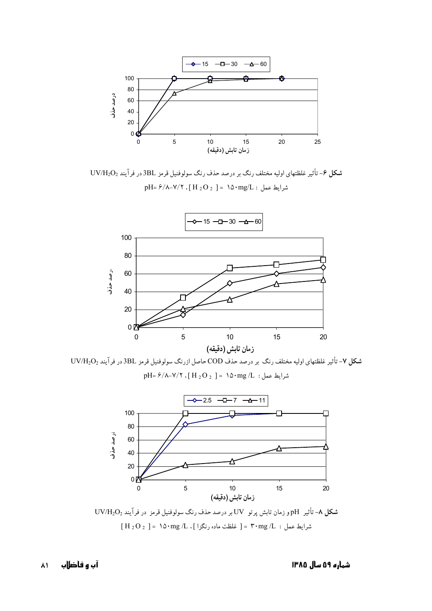

شکل ۶- تأثیر غلظتهای اولیه مختلف رنگ بر درصد حذف رنگ سولوفنیل قرمز 3BL در فرآیند UV/H2O<sub>2</sub> pH=  $\frac{\epsilon}{\gamma}$ شرايط عمل :  $\log/L$  ^ ( H  $_2$  O  $_2$  ] =  $\sim$  10 $\cdot$  mg/L s



 $UV/H_2O_2$  شکل ۷- تأثیر غلظتهای اولیه مختلف رنگ بر درصد حذف COD حاصل ازرنگ سولوفنیل قرمز 3BL در فرآیند pH=  $\frac{\epsilon}{\gamma}$ شرايط عمل:  $\ln \frac{1}{2}$  ^ ^ mg /L : 20y s



 $UV/H_2O_2$  شکل ۸- تأثیر pH و زمان تابش پرتو UV  $[H_2O_2] = \Delta \cdot mg/L$ . شرايط عمل : F $\cdot$  mg /L أغلظت ماده رنگزا ].

شماره ۵۹ **س**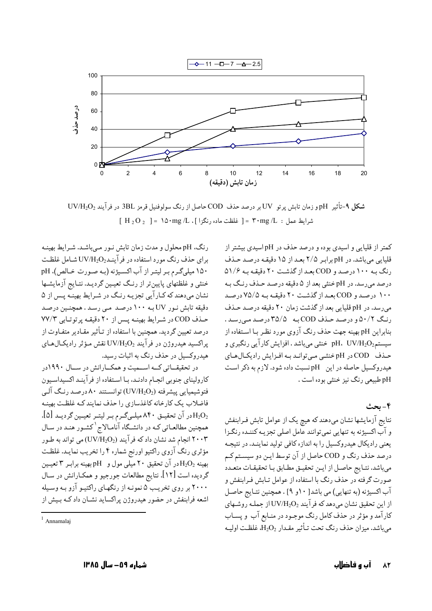

**شکل ۹-**تأثیر pHو زمان تابش پرتو UV بر درصد حذف COD حاصل از رنگ سولوفنیل قرمز 3BL در فرآیند UV/H2O<sub>2</sub>  $[H_2O_2] = \text{N} \cdot \text{mg}/L$ . أشرابط عمل: = ٣٠ mg/L | غلظت ماده رنگزا

رنگ، pH محلول و مدت زمان تابش نـور مـي باشـد. شـرايط بهينـه برای حذف رنگ مورد استفاده در فر آینـد $\rm UV/H_2O_2$ شـامل غلظـت ۱۵۰ میلیگرم بر لیتر از آب اکسیژنه (به صورت خالص)، pH خنثی و غلظتهای پایین تر از رنگ تعیین گردیـد. نتـایج آزمایشـها نشان میدهند که کارآیی تجزیـه رنـگ در شـرایط بهینـه پـس از ۵ دقیقه تابش نـور UV بـه ۱۰۰ درصـد مـی رسـد . همچنـین درصـد حذف COD در شرايط بهينه پس از ٢٠ دقيقه پرتوتابي ٧٧/٣ درصد تعیین گردید. همچنین با استفاده از تـأثیر مقـادیر متفـاوت از یراکسید هیدروژن در فرآیند UV/H2O2 نقش مـؤثر رادیکـال۱عـای هیدروکسیل در حذف رنگ به اثبات رسید.

در تحقیقـاتی کـه اســمیت و همکــارانش در ســال ۱۹۹۰در کارولینای جنوبی انجـام دادنـد، بـا اسـتفاده از فرآینـد اکسیداسـیون فتوشیمیایی پیشرفته (UV/H2O2) توانسـتند ۸۰ درصـد رنـگ آلـی فاضلاب یک کارخانه کاغذسازی را حذف نمایند کـه غلظـت بهینـه ادر آن تحقیــق ۸۴۰ میلــیگــرم بــر لیتــر تعیــین گردیــد [۵].  $\rm H_2O_2$ همچنین مطالعـاتی کـه در دانشـگاه آنامـالاج<sup>۱</sup>کشـور هنـد در سـال ۲۰۰۳ انجام شد نشان داد که فرآیند (UV/H2O2) می تواند به طـور مؤثری رنگ آزوی راکتیو اورنج شماره ۴ را تخریب نمایـد. غلظـت بهینه  $\mathrm{H}_2\mathrm{O}_2$ در آن تحقیق ۲۰ میلی مول و  $\mathrm{pH}$  بهینه برابـر ۳ تعیــین گردیده است [۱۲]. نتایج مطالعات جورجیو و همکـارانش در سـال ۲۰۰۰ بر روی تخریب ۵ نمونـه از رنگهـای راکتیـو آزو بـه وسـیله اشعه فرابنفش در حضور هیدروژن پراکساید نشـان داد کـه بـیش از

کمتر از قلیایی و اسیدی بوده و درصد حذف در pH اسیدی بیشتر از قلیایی می باشد. در pH برابر ۲/۵ بعد از ۱۵ دقیقه درصد حذف رنگ به ۱۰۰ درصد و COD بعد از گذشت ۲۰ دقیقه به ۵۱/۶ درصد می رسد. در pH خنثی بعد از ۵ دقیقه درصـد حـذف رنـگ بـه ۱۰۰ درصد و COD بعد از گذشت ۲۰ دقیقه به ۷۵/۵ درصد می رسد. در pH قلیایی بعد از گذشت زمان ۲۰ دقیقه درصد حـذف رنگ ۵۰/۲ و درصد حذف COD به ۳۵/۵ درصد مه رسد. بنابراین pH بهینه جهت حذف رنگ آزوی مورد نظر بـا اسـتفاده از سیستم20<sub>2</sub>NH، UV/H خنثی میباشد . افزایش کارآیی رنگبری و حـذف COD در pH خنثــي مـي توانــد بـه افـزايش راديكــال هــاي هیدروکسیل حاصله در این pH نسبت داده شود. لازم به ذکر است pH طبیعی رنگ نیز خنثی بوده است .

۴- ىحث

نتایج آزمایشها نشان میدهند که هیچ یک از عوامل تابش فـرابنفش و آب اکسیژنه به تنهایی نمیتوانند عامل اصلی تجزیـه کننـده رنگـزا یعنی رادیکال هیدروکسیل را به اندازه کافی تولید نماینـد. در نتیجـه درصد حذف رنگ و COD حاصل از آن توسط ایـن دو سیسـتم کـم مىباشد. نتـايج حاصـل از ايـن تحقيـق مطـابق بـا تحقيقـات متعـدد صورت گرفته در حذف رنگ با استفاده از عوامل تـابش فـرابنفش و آب اکسیژنه (به تنهایی) می باشد[ ۱۰و ۹] . همچنین نتـایج حاصـل از این تحقیق نشان می دهد که فرآیند UV/H2O2 از جملـه روشـهای کارآمد و مؤثر در حذف کامل رنگ موجـود در منـابع آب و پسـاب می باشد. میزان حذف رنگ تحت تـأثیر مقـدار H2O2، غلظـت اولیـه

 $1$  Annamalaj